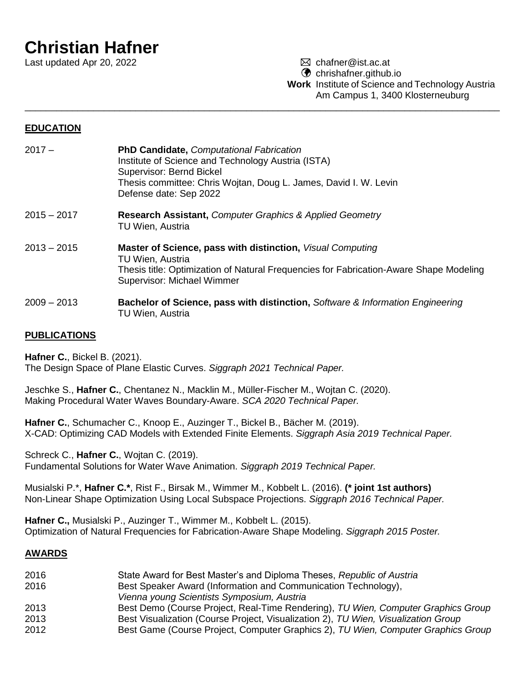# **Christian Hafner**

Last updated Apr 20, 2022 chafner@ist.ac.at

**C** chrishafner.github.io

**Work** Institute of Science and Technology Austria Am Campus 1, 3400 Klosterneuburg

## **EDUCATION**

- 2017 **PhD Candidate,** *Computational Fabrication* Institute of Science and Technology Austria (ISTA) Supervisor: Bernd Bickel Thesis committee: Chris Wojtan, Doug L. James, David I. W. Levin Defense date: Sep 2022
- 2015 2017 **Research Assistant,** *Computer Graphics & Applied Geometry* TU Wien, Austria
- 2013 2015 **Master of Science, pass with distinction,** *Visual Computing* TU Wien, Austria Thesis title: Optimization of Natural Frequencies for Fabrication-Aware Shape Modeling Supervisor: Michael Wimmer

\_\_\_\_\_\_\_\_\_\_\_\_\_\_\_\_\_\_\_\_\_\_\_\_\_\_\_\_\_\_\_\_\_\_\_\_\_\_\_\_\_\_\_\_\_\_\_\_\_\_\_\_\_\_\_\_\_\_\_\_\_\_\_\_\_\_\_\_\_\_\_\_\_\_\_\_\_\_\_\_\_\_\_\_\_\_\_\_\_\_

2009 – 2013 **Bachelor of Science, pass with distinction,** *Software & Information Engineering* TU Wien, Austria

## **PUBLICATIONS**

**Hafner C.**, Bickel B. (2021). The Design Space of Plane Elastic Curves. *Siggraph 2021 Technical Paper.*

Jeschke S., **Hafner C.**, Chentanez N., Macklin M., Müller-Fischer M., Wojtan C. (2020). Making Procedural Water Waves Boundary-Aware. *SCA 2020 Technical Paper.*

**Hafner C.**, Schumacher C., Knoop E., Auzinger T., Bickel B., Bächer M. (2019). X-CAD: Optimizing CAD Models with Extended Finite Elements. *Siggraph Asia 2019 Technical Paper.*

Schreck C., **Hafner C.**, Wojtan C. (2019). Fundamental Solutions for Water Wave Animation. *Siggraph 2019 Technical Paper.*

Musialski P.\*, **Hafner C.\***, Rist F., Birsak M., Wimmer M., Kobbelt L. (2016). **(\* joint 1st authors)** Non-Linear Shape Optimization Using Local Subspace Projections. *Siggraph 2016 Technical Paper.*

**Hafner C.,** Musialski P., Auzinger T., Wimmer M., Kobbelt L. (2015). Optimization of Natural Frequencies for Fabrication-Aware Shape Modeling. *Siggraph 2015 Poster.*

### **AWARDS**

- 2016 State Award for Best Master's and Diploma Theses, *Republic of Austria*
- 2016 Best Speaker Award (Information and Communication Technology),
- *Vienna young Scientists Symposium, Austria*
- 2013 Best Demo (Course Project, Real-Time Rendering), *TU Wien, Computer Graphics Group*
- 2013 Best Visualization (Course Project, Visualization 2), *TU Wien, Visualization Group*
- 2012 Best Game (Course Project, Computer Graphics 2), *TU Wien, Computer Graphics Group*